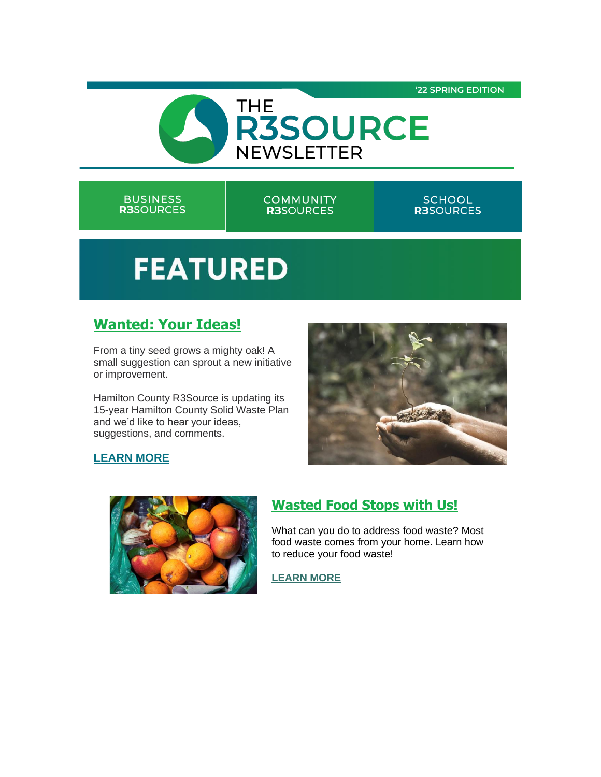

#### **BUSINESS R3**SOURCES

**COMMUNITY R3SOURCES** 

#### **SCHOOL R3**SOURCES

# **FEATURED**

# **[Wanted: Your Ideas!](https://r20.rs6.net/tn.jsp?f=001-BD2x7enXV8q5I7MgERZlivojiCywDo7ECD-LyGXSFCuL0nCAFAQGf9ZDKbIDcxT-vmd7xe2LdJ_gs6foyab7B3sbewwqQEK493IJUlEA0QhrmkW4l61GMV59ZGix5_tRf7j-sisTFe5yA7yt9ZSXO7YkAS1O4pFgaMW9cYODgnqv5F5NoghILKpPzu0u95WdvBaF9Q4GOg=&c=8zHsltHPzsQ26bOTtoUgoSKOUpc77Mjzy4io4IRHP-ZlJrCG3k8-Ig==&ch=DSueu9VvLFI7vIvomHVxOvJp1W9Mkw9Nr16fvA-b2io8fhb2VfJ1zQ==)**

From a tiny seed grows a mighty oak! A small suggestion can sprout a new initiative or improvement.

Hamilton County R3Source is updating its 15-year Hamilton County Solid Waste Plan and we'd like to hear your ideas, suggestions, and comments.



#### **[LEARN MORE](https://r20.rs6.net/tn.jsp?f=001-BD2x7enXV8q5I7MgERZlivojiCywDo7ECD-LyGXSFCuL0nCAFAQGf9ZDKbIDcxT-vmd7xe2LdJ_gs6foyab7B3sbewwqQEK493IJUlEA0QhrmkW4l61GMV59ZGix5_tRf7j-sisTFe5yA7yt9ZSXO7YkAS1O4pFgaMW9cYODgnqv5F5NoghILKpPzu0u95WdvBaF9Q4GOg=&c=8zHsltHPzsQ26bOTtoUgoSKOUpc77Mjzy4io4IRHP-ZlJrCG3k8-Ig==&ch=DSueu9VvLFI7vIvomHVxOvJp1W9Mkw9Nr16fvA-b2io8fhb2VfJ1zQ==)**



# **[Wasted Food Stops with Us!](https://r20.rs6.net/tn.jsp?f=001-BD2x7enXV8q5I7MgERZlivojiCywDo7ECD-LyGXSFCuL0nCAFAQGf9ZDKbIDcxTzmiNzAjbZq18PJZejcBHhtJxcua5XC7FFQukMcFmKKAjWuELz0L4dNNT7WjBv_CvN_wuRMNNDjwKYRwpFCGYR44kEeSa-kjykX7s0h6wEBkBxoZu1jBPxGr49CZnZ1Vh&c=8zHsltHPzsQ26bOTtoUgoSKOUpc77Mjzy4io4IRHP-ZlJrCG3k8-Ig==&ch=DSueu9VvLFI7vIvomHVxOvJp1W9Mkw9Nr16fvA-b2io8fhb2VfJ1zQ==)**

What can you do to address food waste? Most food waste comes from your home. Learn how to reduce your food waste!

**[LEARN MORE](https://r20.rs6.net/tn.jsp?f=001-BD2x7enXV8q5I7MgERZlivojiCywDo7ECD-LyGXSFCuL0nCAFAQGf9ZDKbIDcxTzmiNzAjbZq18PJZejcBHhtJxcua5XC7FFQukMcFmKKAjWuELz0L4dNNT7WjBv_CvN_wuRMNNDjwKYRwpFCGYR44kEeSa-kjykX7s0h6wEBkBxoZu1jBPxGr49CZnZ1Vh&c=8zHsltHPzsQ26bOTtoUgoSKOUpc77Mjzy4io4IRHP-ZlJrCG3k8-Ig==&ch=DSueu9VvLFI7vIvomHVxOvJp1W9Mkw9Nr16fvA-b2io8fhb2VfJ1zQ==)**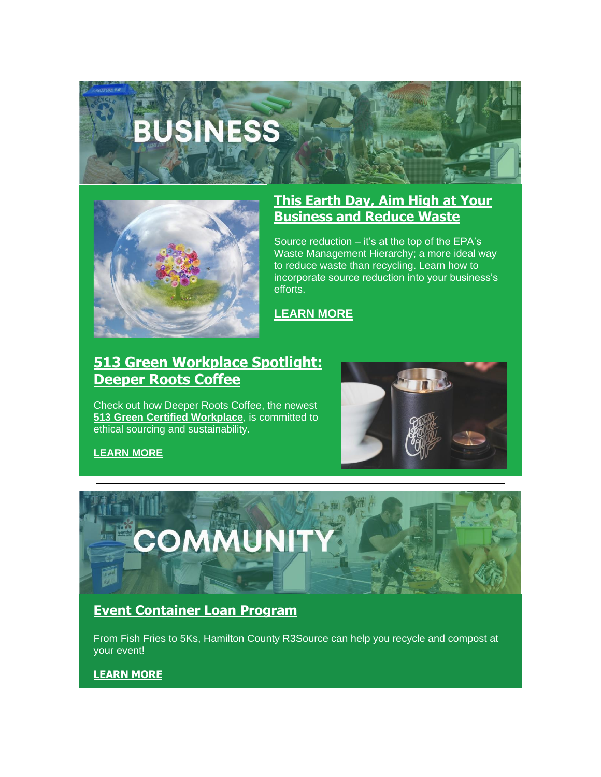# **BUSINESS**



## **[This Earth Day, Aim High at Your](https://r20.rs6.net/tn.jsp?f=001-BD2x7enXV8q5I7MgERZlivojiCywDo7ECD-LyGXSFCuL0nCAFAQGf9ZDKbIDcxT_5xtjd_kM8EionyuqE4BIEo_HGzv8UCd6kSRSMLfJp0ykuj7o-b7FDowkLlTr7P92HtV4ml7Sc6qtkmtAYL1lqw6YWKZ4KVzlf_2lzcq8M29l8xQju8h5Y65Dxk06wUAqmVpFeOoKogCjBRW1VbjRd2DpZAtJAjIBcNZK37y6-yK9CjgNuLleA==&c=8zHsltHPzsQ26bOTtoUgoSKOUpc77Mjzy4io4IRHP-ZlJrCG3k8-Ig==&ch=DSueu9VvLFI7vIvomHVxOvJp1W9Mkw9Nr16fvA-b2io8fhb2VfJ1zQ==)  [Business and Reduce Waste](https://r20.rs6.net/tn.jsp?f=001-BD2x7enXV8q5I7MgERZlivojiCywDo7ECD-LyGXSFCuL0nCAFAQGf9ZDKbIDcxT_5xtjd_kM8EionyuqE4BIEo_HGzv8UCd6kSRSMLfJp0ykuj7o-b7FDowkLlTr7P92HtV4ml7Sc6qtkmtAYL1lqw6YWKZ4KVzlf_2lzcq8M29l8xQju8h5Y65Dxk06wUAqmVpFeOoKogCjBRW1VbjRd2DpZAtJAjIBcNZK37y6-yK9CjgNuLleA==&c=8zHsltHPzsQ26bOTtoUgoSKOUpc77Mjzy4io4IRHP-ZlJrCG3k8-Ig==&ch=DSueu9VvLFI7vIvomHVxOvJp1W9Mkw9Nr16fvA-b2io8fhb2VfJ1zQ==)**

Source reduction – it's at the top of the EPA's Waste Management Hierarchy; a more ideal way to reduce waste than recycling. Learn how to incorporate source reduction into your business's efforts.

**[LEARN MORE](https://r20.rs6.net/tn.jsp?f=001-BD2x7enXV8q5I7MgERZlivojiCywDo7ECD-LyGXSFCuL0nCAFAQGf9ZDKbIDcxT_5xtjd_kM8EionyuqE4BIEo_HGzv8UCd6kSRSMLfJp0ykuj7o-b7FDowkLlTr7P92HtV4ml7Sc6qtkmtAYL1lqw6YWKZ4KVzlf_2lzcq8M29l8xQju8h5Y65Dxk06wUAqmVpFeOoKogCjBRW1VbjRd2DpZAtJAjIBcNZK37y6-yK9CjgNuLleA==&c=8zHsltHPzsQ26bOTtoUgoSKOUpc77Mjzy4io4IRHP-ZlJrCG3k8-Ig==&ch=DSueu9VvLFI7vIvomHVxOvJp1W9Mkw9Nr16fvA-b2io8fhb2VfJ1zQ==)**

# **[513 Green Workplace Spotlight:](https://r20.rs6.net/tn.jsp?f=001-BD2x7enXV8q5I7MgERZlivojiCywDo7ECD-LyGXSFCuL0nCAFAQGf9ZDKbIDcxTXNT0uoAPeODBIfrdqoyZy4J0NR024ce-MVbn3IZus09ZzlF7DjAABe0fDjKIuskW09Up2pYLw7IQELNCAzC3T8XJ8ZVGEb8J8_jXKq2Fg7ReDl22BrxvrM5BHc86kD1tVWbnzwzM2tDU76jUnuFBXayT0XQIQ1MgzuX5y3F99RKIIf41u23Z6w==&c=8zHsltHPzsQ26bOTtoUgoSKOUpc77Mjzy4io4IRHP-ZlJrCG3k8-Ig==&ch=DSueu9VvLFI7vIvomHVxOvJp1W9Mkw9Nr16fvA-b2io8fhb2VfJ1zQ==)  [Deeper Roots Coffee](https://r20.rs6.net/tn.jsp?f=001-BD2x7enXV8q5I7MgERZlivojiCywDo7ECD-LyGXSFCuL0nCAFAQGf9ZDKbIDcxTXNT0uoAPeODBIfrdqoyZy4J0NR024ce-MVbn3IZus09ZzlF7DjAABe0fDjKIuskW09Up2pYLw7IQELNCAzC3T8XJ8ZVGEb8J8_jXKq2Fg7ReDl22BrxvrM5BHc86kD1tVWbnzwzM2tDU76jUnuFBXayT0XQIQ1MgzuX5y3F99RKIIf41u23Z6w==&c=8zHsltHPzsQ26bOTtoUgoSKOUpc77Mjzy4io4IRHP-ZlJrCG3k8-Ig==&ch=DSueu9VvLFI7vIvomHVxOvJp1W9Mkw9Nr16fvA-b2io8fhb2VfJ1zQ==)**

Check out how Deeper Roots Coffee, the newest **[513 Green Certified Workplace](https://r20.rs6.net/tn.jsp?f=001-BD2x7enXV8q5I7MgERZlivojiCywDo7ECD-LyGXSFCuL0nCAFAQGf9ZDKbIDcxT8R2fQ57gL1LmZLxDNPbvs1420KOVkI6QWxn77jlJr0ptrLMIk7e60X5Xt1WjC5p8nfpyu-3hzaV3IgjOFJ_rBENd9hbIqvLV-gchaDSVXw6ndKJcM-jjKoY7-o4b5Fn_&c=8zHsltHPzsQ26bOTtoUgoSKOUpc77Mjzy4io4IRHP-ZlJrCG3k8-Ig==&ch=DSueu9VvLFI7vIvomHVxOvJp1W9Mkw9Nr16fvA-b2io8fhb2VfJ1zQ==)**, is committed to ethical sourcing and sustainability.



**[LEARN MORE](https://r20.rs6.net/tn.jsp?f=001-BD2x7enXV8q5I7MgERZlivojiCywDo7ECD-LyGXSFCuL0nCAFAQGf9ZDKbIDcxTXNT0uoAPeODBIfrdqoyZy4J0NR024ce-MVbn3IZus09ZzlF7DjAABe0fDjKIuskW09Up2pYLw7IQELNCAzC3T8XJ8ZVGEb8J8_jXKq2Fg7ReDl22BrxvrM5BHc86kD1tVWbnzwzM2tDU76jUnuFBXayT0XQIQ1MgzuX5y3F99RKIIf41u23Z6w==&c=8zHsltHPzsQ26bOTtoUgoSKOUpc77Mjzy4io4IRHP-ZlJrCG3k8-Ig==&ch=DSueu9VvLFI7vIvomHVxOvJp1W9Mkw9Nr16fvA-b2io8fhb2VfJ1zQ==)**



### **[Event Container Loan Program](https://r20.rs6.net/tn.jsp?f=001-BD2x7enXV8q5I7MgERZlivojiCywDo7ECD-LyGXSFCuL0nCAFAQGf9ZDKbIDcxTewZAFIu-ghVBS5p_VJQZqf5RxZ1wxhdsIKU-KnhiQTO47FPIsy1X_IOqFDZMCeR-rn9kM6ecOFA6_Uapd1gr9dWtJPLcyKxsPeZtAS9qXPk2bp7B49FupEUz4TEMxsYw&c=8zHsltHPzsQ26bOTtoUgoSKOUpc77Mjzy4io4IRHP-ZlJrCG3k8-Ig==&ch=DSueu9VvLFI7vIvomHVxOvJp1W9Mkw9Nr16fvA-b2io8fhb2VfJ1zQ==)**

From Fish Fries to 5Ks, Hamilton County R3Source can help you recycle and compost at your event!

#### **[LEARN MORE](https://r20.rs6.net/tn.jsp?f=001-BD2x7enXV8q5I7MgERZlivojiCywDo7ECD-LyGXSFCuL0nCAFAQGf9ZDKbIDcxTewZAFIu-ghVBS5p_VJQZqf5RxZ1wxhdsIKU-KnhiQTO47FPIsy1X_IOqFDZMCeR-rn9kM6ecOFA6_Uapd1gr9dWtJPLcyKxsPeZtAS9qXPk2bp7B49FupEUz4TEMxsYw&c=8zHsltHPzsQ26bOTtoUgoSKOUpc77Mjzy4io4IRHP-ZlJrCG3k8-Ig==&ch=DSueu9VvLFI7vIvomHVxOvJp1W9Mkw9Nr16fvA-b2io8fhb2VfJ1zQ==)**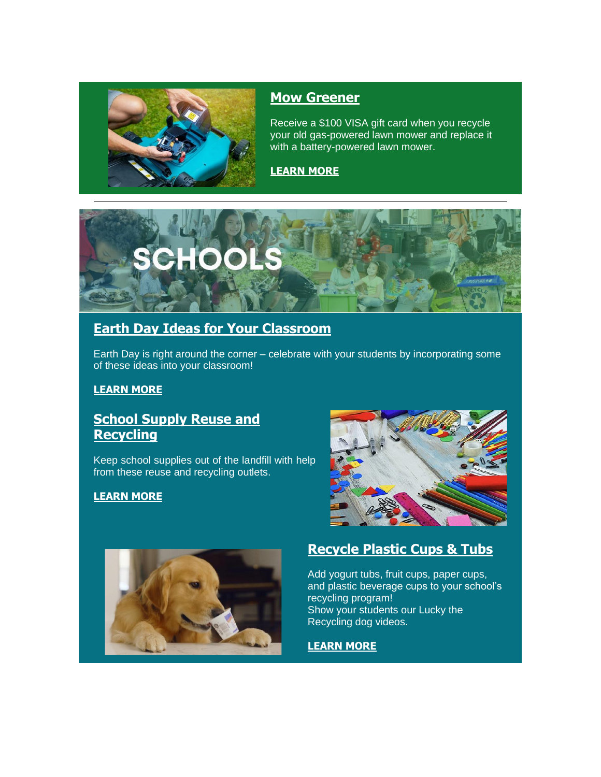

#### **[Mow Greener](https://r20.rs6.net/tn.jsp?f=001-BD2x7enXV8q5I7MgERZlivojiCywDo7ECD-LyGXSFCuL0nCAFAQGf9ZDKbIDcxTyqvDP6BaeUpsWxKtpfS31TXB_dIxTI6eBdZISoy0bxMjyfX-DPINMxTLXpADCapMHU8HQWEHtMHBhVOjdqklHEIWoD9bFD_DosmkMc_KIbTXZYnUQ_D46fSAYOWVN0h75I6PHPEe6O4=&c=8zHsltHPzsQ26bOTtoUgoSKOUpc77Mjzy4io4IRHP-ZlJrCG3k8-Ig==&ch=DSueu9VvLFI7vIvomHVxOvJp1W9Mkw9Nr16fvA-b2io8fhb2VfJ1zQ==)**

Receive a \$100 VISA gift card when you recycle your old gas-powered lawn mower and replace it with a battery-powered lawn mower.

#### **[LEARN MORE](https://r20.rs6.net/tn.jsp?f=001-BD2x7enXV8q5I7MgERZlivojiCywDo7ECD-LyGXSFCuL0nCAFAQGf9ZDKbIDcxTyqvDP6BaeUpsWxKtpfS31TXB_dIxTI6eBdZISoy0bxMjyfX-DPINMxTLXpADCapMHU8HQWEHtMHBhVOjdqklHEIWoD9bFD_DosmkMc_KIbTXZYnUQ_D46fSAYOWVN0h75I6PHPEe6O4=&c=8zHsltHPzsQ26bOTtoUgoSKOUpc77Mjzy4io4IRHP-ZlJrCG3k8-Ig==&ch=DSueu9VvLFI7vIvomHVxOvJp1W9Mkw9Nr16fvA-b2io8fhb2VfJ1zQ==)**



# **[Earth Day Ideas for Your Classroom](https://r20.rs6.net/tn.jsp?f=001-BD2x7enXV8q5I7MgERZlivojiCywDo7ECD-LyGXSFCuL0nCAFAQGf9ZDKbIDcxT6qS3RYAThy-81rWo3Ws8dX3V2FlB20hWpvEWLr-XVNz4LwfstF5fy820fM-cvr8arhq05trqQ4QXbXayeodAU2-axpFZcmuaAsGNNCj2FgI41gzoOHqYiaWM4XMsjvcRCUTzyHwgx3DYy5ILd_9z-928mfx1SpqBE1U9ipRdTZ6EDCQWyUvF1w==&c=8zHsltHPzsQ26bOTtoUgoSKOUpc77Mjzy4io4IRHP-ZlJrCG3k8-Ig==&ch=DSueu9VvLFI7vIvomHVxOvJp1W9Mkw9Nr16fvA-b2io8fhb2VfJ1zQ==)**

Earth Day is right around the corner – celebrate with your students by incorporating some of these ideas into your classroom!

#### **[LEARN MORE](https://r20.rs6.net/tn.jsp?f=001-BD2x7enXV8q5I7MgERZlivojiCywDo7ECD-LyGXSFCuL0nCAFAQGf9ZDKbIDcxT6qS3RYAThy-81rWo3Ws8dX3V2FlB20hWpvEWLr-XVNz4LwfstF5fy820fM-cvr8arhq05trqQ4QXbXayeodAU2-axpFZcmuaAsGNNCj2FgI41gzoOHqYiaWM4XMsjvcRCUTzyHwgx3DYy5ILd_9z-928mfx1SpqBE1U9ipRdTZ6EDCQWyUvF1w==&c=8zHsltHPzsQ26bOTtoUgoSKOUpc77Mjzy4io4IRHP-ZlJrCG3k8-Ig==&ch=DSueu9VvLFI7vIvomHVxOvJp1W9Mkw9Nr16fvA-b2io8fhb2VfJ1zQ==)**

## **[School Supply Reuse and](https://r20.rs6.net/tn.jsp?f=001-BD2x7enXV8q5I7MgERZlivojiCywDo7ECD-LyGXSFCuL0nCAFAQGf9ZDKbIDcxTH6hN7lGsUE6kKLHyScswdu8YlAvWfqOQ69Uf-37rFw0CFa9ans9IW7PobpnpdG6eqEB4RyB0WsANUhyPAe805ksXHs2Pu4xjVwririm2CHBk0e1IvvGJsbbITrQHCBZufJsaAl4lup7tyAFQ6akbY-OWJp59enPUupMHIfcx9xaxD7LtFBfn-w==&c=8zHsltHPzsQ26bOTtoUgoSKOUpc77Mjzy4io4IRHP-ZlJrCG3k8-Ig==&ch=DSueu9VvLFI7vIvomHVxOvJp1W9Mkw9Nr16fvA-b2io8fhb2VfJ1zQ==)  [Recycling](https://r20.rs6.net/tn.jsp?f=001-BD2x7enXV8q5I7MgERZlivojiCywDo7ECD-LyGXSFCuL0nCAFAQGf9ZDKbIDcxTH6hN7lGsUE6kKLHyScswdu8YlAvWfqOQ69Uf-37rFw0CFa9ans9IW7PobpnpdG6eqEB4RyB0WsANUhyPAe805ksXHs2Pu4xjVwririm2CHBk0e1IvvGJsbbITrQHCBZufJsaAl4lup7tyAFQ6akbY-OWJp59enPUupMHIfcx9xaxD7LtFBfn-w==&c=8zHsltHPzsQ26bOTtoUgoSKOUpc77Mjzy4io4IRHP-ZlJrCG3k8-Ig==&ch=DSueu9VvLFI7vIvomHVxOvJp1W9Mkw9Nr16fvA-b2io8fhb2VfJ1zQ==)**

Keep school supplies out of the landfill with help from these reuse and recycling outlets.

#### **[LEARN MORE](https://r20.rs6.net/tn.jsp?f=001-BD2x7enXV8q5I7MgERZlivojiCywDo7ECD-LyGXSFCuL0nCAFAQGf9ZDKbIDcxTH6hN7lGsUE6kKLHyScswdu8YlAvWfqOQ69Uf-37rFw0CFa9ans9IW7PobpnpdG6eqEB4RyB0WsANUhyPAe805ksXHs2Pu4xjVwririm2CHBk0e1IvvGJsbbITrQHCBZufJsaAl4lup7tyAFQ6akbY-OWJp59enPUupMHIfcx9xaxD7LtFBfn-w==&c=8zHsltHPzsQ26bOTtoUgoSKOUpc77Mjzy4io4IRHP-ZlJrCG3k8-Ig==&ch=DSueu9VvLFI7vIvomHVxOvJp1W9Mkw9Nr16fvA-b2io8fhb2VfJ1zQ==)**





# **[Recycle Plastic Cups & Tubs](https://r20.rs6.net/tn.jsp?f=001-BD2x7enXV8q5I7MgERZlivojiCywDo7ECD-LyGXSFCuL0nCAFAQGf9ZDKbIDcxTP11nl2AWVP1icZC6DSJpoFCI3PR4KUSvM2Gq3ohBKnRxTVKSpJULTRUthai5Apo0aDaQdOOgNfE1ME2b_eVpZJ3WozCa9T7g_poLgne4ufRAz-G4NhCiLeiw54_Gtr22M5qwX8dic2Dp4gBhIQiMzvhflEuZMc2m4OXrSFsQCh6H6qRIpVgdfQ==&c=8zHsltHPzsQ26bOTtoUgoSKOUpc77Mjzy4io4IRHP-ZlJrCG3k8-Ig==&ch=DSueu9VvLFI7vIvomHVxOvJp1W9Mkw9Nr16fvA-b2io8fhb2VfJ1zQ==)**

Add yogurt tubs, fruit cups, paper cups, and plastic beverage cups to your school's recycling program! Show your students our Lucky the Recycling dog videos.

#### **[LEARN MORE](https://r20.rs6.net/tn.jsp?f=001-BD2x7enXV8q5I7MgERZlivojiCywDo7ECD-LyGXSFCuL0nCAFAQGf9ZDKbIDcxTP11nl2AWVP1icZC6DSJpoFCI3PR4KUSvM2Gq3ohBKnRxTVKSpJULTRUthai5Apo0aDaQdOOgNfE1ME2b_eVpZJ3WozCa9T7g_poLgne4ufRAz-G4NhCiLeiw54_Gtr22M5qwX8dic2Dp4gBhIQiMzvhflEuZMc2m4OXrSFsQCh6H6qRIpVgdfQ==&c=8zHsltHPzsQ26bOTtoUgoSKOUpc77Mjzy4io4IRHP-ZlJrCG3k8-Ig==&ch=DSueu9VvLFI7vIvomHVxOvJp1W9Mkw9Nr16fvA-b2io8fhb2VfJ1zQ==)**